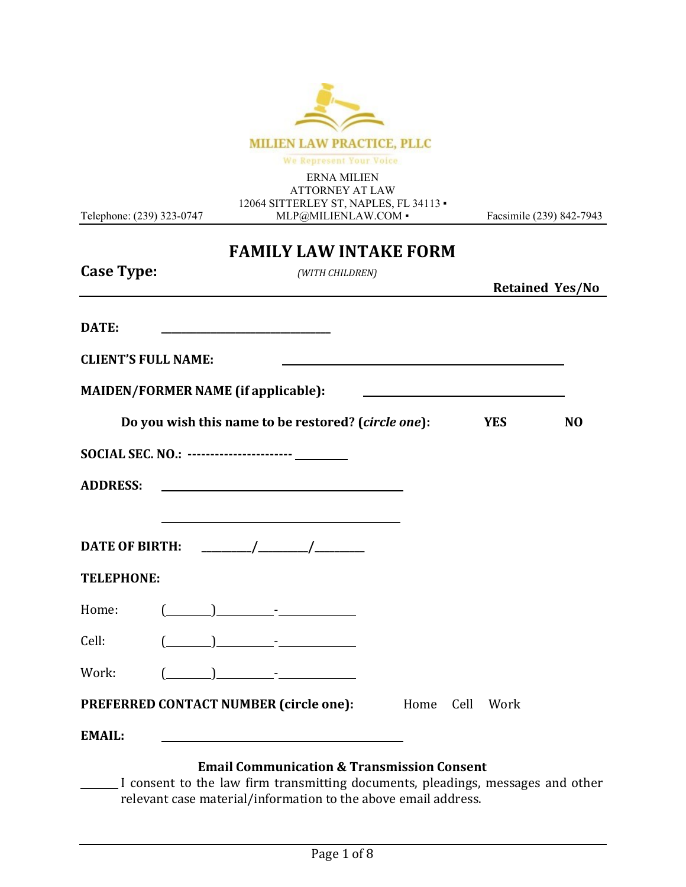

We Represent Your Voice

ERNA MILIEN ATTORNEY AT LAW 12064 SITTERLEY ST, NAPLES, FL 34113 · [MLP@MILIENLAW.COM](mailto:MLP@MILIENLAW.COM) •

Telephone: (239) 323-0747

Facsimile (239) 842-7943

# **FAMILY LAW INTAKE FORM Case Type:** *(WITH CHILDREN)* **Retained Yes/No DATE: \_\_\_\_\_\_\_\_\_\_\_\_\_\_\_\_\_\_\_\_\_\_\_\_\_\_\_\_\_\_\_\_\_\_ CLIENT'S FULL NAME: MAIDEN/FORMER NAME (if applicable): Do you wish this name to be restored? (***circle one***): YES NO SOCIAL SEC. NO.: ----------------------- ADDRESS: DATE OF BIRTH: \_\_\_\_\_\_\_\_\_\_/\_\_\_\_\_\_\_\_\_\_/\_\_\_\_\_\_\_\_\_\_ TELEPHONE:** Home:  $(\_\_)$  -  $\_\_$ Cell: ( ) - Work: ( ) - **PREFERRED CONTACT NUMBER (circle one):** Home Cell Work **EMAIL:**

#### **Email Communication & Transmission Consent**

I consent to the law firm transmitting documents, pleadings, messages and other relevant case material/information to the above email address.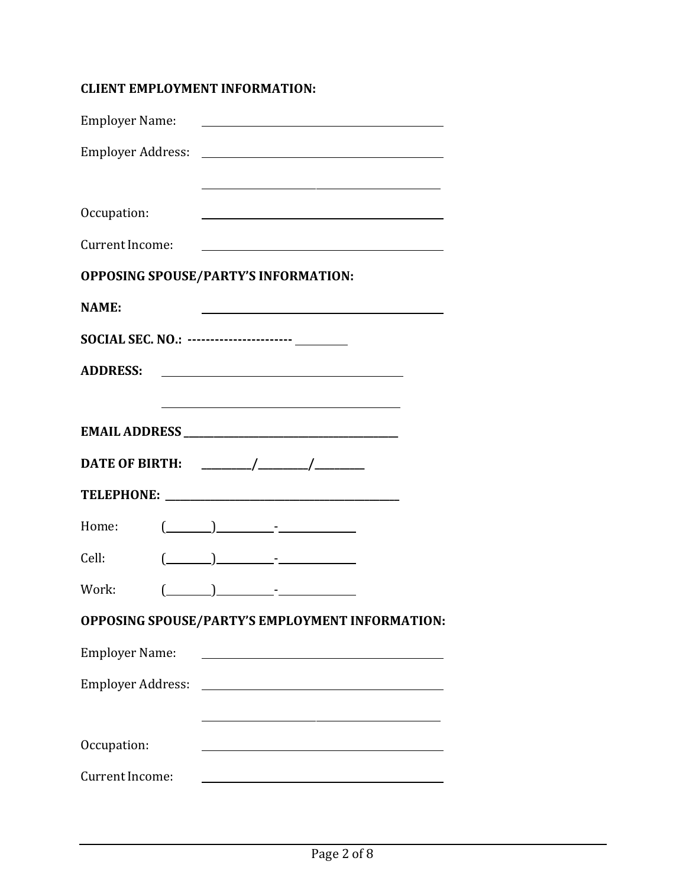### **CLIENT EMPLOYMENT INFORMATION:**

| Employer Name:           |                                                                                                                       |
|--------------------------|-----------------------------------------------------------------------------------------------------------------------|
|                          |                                                                                                                       |
|                          |                                                                                                                       |
| Occupation:              |                                                                                                                       |
| Current Income:          | <u> 1980 - Johann Barbara, martin amerikan basal dan berasal dalam basal dalam basal dalam basal dalam basal dala</u> |
|                          | <b>OPPOSING SPOUSE/PARTY'S INFORMATION:</b>                                                                           |
| <b>NAME:</b>             |                                                                                                                       |
|                          | SOCIAL SEC. NO.: ----------------------- ________                                                                     |
| <b>ADDRESS:</b>          | <u> 1989 - Johann Barbara, martin a</u>                                                                               |
|                          | <u> 1980 - Johann Barn, mars ann an t-Amhain Aonaichte ann an t-Amhain Aonaichte ann an t-Amhain Aonaichte ann an</u> |
|                          |                                                                                                                       |
|                          |                                                                                                                       |
|                          |                                                                                                                       |
| Home:                    | $(\_\_\_\_\_)\_\_\_\_$ .                                                                                              |
| Cell:                    | $\begin{array}{ccc} \hline \end{array}$                                                                               |
| Work:                    |                                                                                                                       |
|                          | OPPOSING SPOUSE/PARTY'S EMPLOYMENT INFORMATION:                                                                       |
| <b>Employer Name:</b>    | <u> 1980 - Johann Barn, fransk politik (d. 1980)</u>                                                                  |
| <b>Employer Address:</b> | <u> 1989 - Johann Barn, fransk politik fotograf (d. 1989)</u>                                                         |
|                          |                                                                                                                       |
| Occupation:              | <u> 1980 - Johann Barn, mars eta bainar eta baina eta baina eta baina eta baina eta baina eta baina eta baina e</u>   |
| Current Income:          |                                                                                                                       |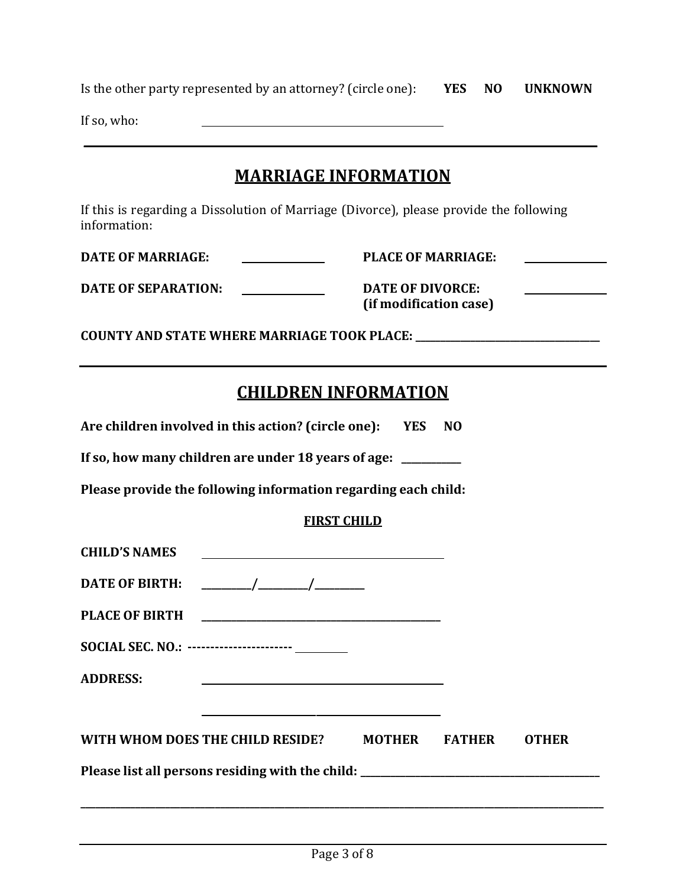| Is the other party represented by an attorney? (circle one): <b>YES</b>                                                                                                                                                  |                           | NO             | <b>UNKNOWN</b> |
|--------------------------------------------------------------------------------------------------------------------------------------------------------------------------------------------------------------------------|---------------------------|----------------|----------------|
| If so, who:                                                                                                                                                                                                              |                           |                |                |
| <b>MARRIAGE INFORMATION</b>                                                                                                                                                                                              |                           |                |                |
| If this is regarding a Dissolution of Marriage (Divorce), please provide the following<br>information:                                                                                                                   |                           |                |                |
| <b>DATE OF MARRIAGE:</b>                                                                                                                                                                                                 | <b>PLACE OF MARRIAGE:</b> |                |                |
| <b>DATE OF DIVORCE:</b><br><b>DATE OF SEPARATION:</b><br>(if modification case)                                                                                                                                          |                           |                |                |
| COUNTY AND STATE WHERE MARRIAGE TOOK PLACE: _______________________________                                                                                                                                              |                           |                |                |
| <b>CHILDREN INFORMATION</b><br>Are children involved in this action? (circle one): YES<br>If so, how many children are under 18 years of age: ________<br>Please provide the following information regarding each child: |                           | N <sub>0</sub> |                |
|                                                                                                                                                                                                                          | <b>FIRST CHILD</b>        |                |                |
| <b>CHILD'S NAMES</b><br><b>DATE OF BIRTH:</b>                                                                                                                                                                            |                           |                |                |
| SOCIAL SEC. NO.: ------------------------ ________<br><b>ADDRESS:</b>                                                                                                                                                    |                           |                |                |
| WITH WHOM DOES THE CHILD RESIDE?                                                                                                                                                                                         | <b>MOTHER</b>             | <b>FATHER</b>  | <b>OTHER</b>   |

**Please list all persons residing with the child: \_\_\_\_\_\_\_\_\_\_\_\_\_\_\_\_\_\_\_\_\_\_\_\_\_\_\_\_\_\_\_\_\_\_\_\_\_\_\_\_\_\_\_\_\_\_\_\_**

**\_\_\_\_\_\_\_\_\_\_\_\_\_\_\_\_\_\_\_\_\_\_\_\_\_\_\_\_\_\_\_\_\_\_\_\_\_\_\_\_\_\_\_\_\_\_\_\_\_\_\_\_\_\_\_\_\_\_\_\_\_\_\_\_\_\_\_\_\_\_\_\_\_\_\_\_\_\_\_\_\_\_\_\_\_\_\_\_\_\_\_\_\_\_\_\_\_\_\_\_\_\_\_\_\_**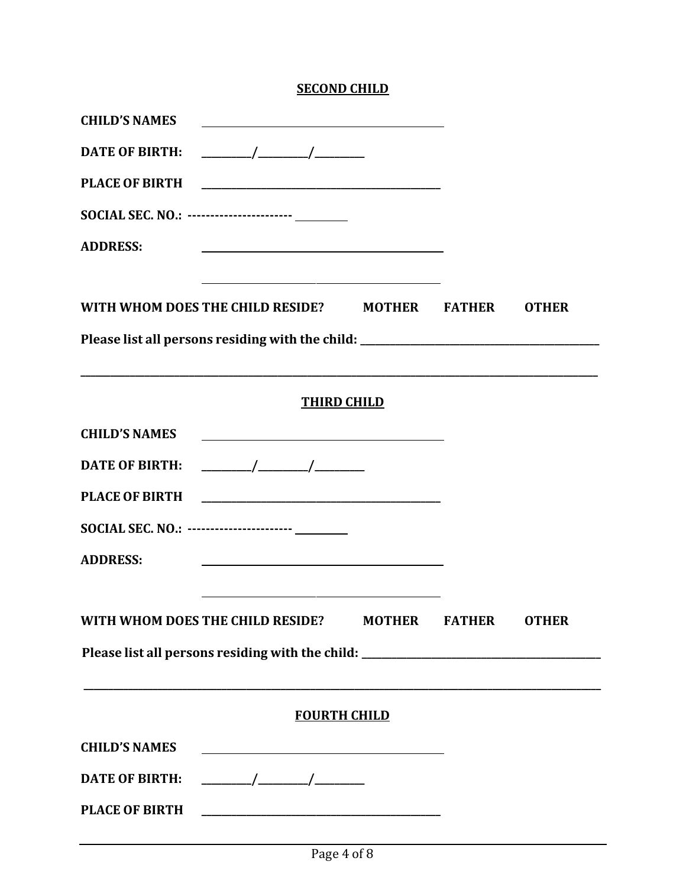### **SECOND CHILD**

| <b>CHILD'S NAMES</b>                                                                                                                                                                                                                                        |               |              |
|-------------------------------------------------------------------------------------------------------------------------------------------------------------------------------------------------------------------------------------------------------------|---------------|--------------|
| <b>DATE OF BIRTH:</b>                                                                                                                                                                                                                                       |               |              |
|                                                                                                                                                                                                                                                             |               |              |
| SOCIAL SEC. NO.: ----------------------- ________                                                                                                                                                                                                           |               |              |
| <b>ADDRESS:</b><br><u> 1980 - Johann Barbara, martin amerikan basar dan berasal dan berasal dalam basar dalam basar dalam basar dala</u>                                                                                                                    |               |              |
| <u> 1989 - Johann Barn, mars ann an t-Amhain Aonaich an t-Aonaich an t-Aonaich ann an t-Aonaich ann an t-Aonaich</u><br>WITH WHOM DOES THE CHILD RESIDE? MOTHER FATHER<br>Please list all persons residing with the child: ________________________________ |               | <b>OTHER</b> |
| ,我们也不能在这里的人,我们也不能在这里的人,我们也不能在这里的人,我们也不能在这里的人,我们也不能在这里的人,我们也不能在这里的人,我们也不能在这里的人,我们也                                                                                                                                                                           |               |              |
| <b>THIRD CHILD</b>                                                                                                                                                                                                                                          |               |              |
| <b>CHILD'S NAMES</b><br><u> 1980 - Johann Barn, mars ann an t-Amhain Aonaich an t-Aonaich an t-Aonaich ann an t-Aonaich ann an t-Aonaich</u>                                                                                                                |               |              |
| $\frac{1}{\sqrt{1-\frac{1}{2}}}\left( \frac{1}{\sqrt{1-\frac{1}{2}}}\right)$<br><b>DATE OF BIRTH:</b>                                                                                                                                                       |               |              |
|                                                                                                                                                                                                                                                             |               |              |
| SOCIAL SEC. NO.: ----------------------- ________                                                                                                                                                                                                           |               |              |
| <b>ADDRESS:</b>                                                                                                                                                                                                                                             |               |              |
| the control of the control of the control of the control of the control of the control of                                                                                                                                                                   |               |              |
| WITH WHOM DOES THE CHILD RESIDE?<br><b>MOTHER</b>                                                                                                                                                                                                           | <b>FATHER</b> | <b>OTHER</b> |
| Please list all persons residing with the child: ________________________________                                                                                                                                                                           |               |              |
| <b>FOURTH CHILD</b>                                                                                                                                                                                                                                         |               |              |
| <b>CHILD'S NAMES</b><br><u> 1989 - Johann Barn, fransk politik amerikansk politik (</u>                                                                                                                                                                     |               |              |
| <b>DATE OF BIRTH:</b>                                                                                                                                                                                                                                       |               |              |
| <b>PLACE OF BIRTH</b>                                                                                                                                                                                                                                       |               |              |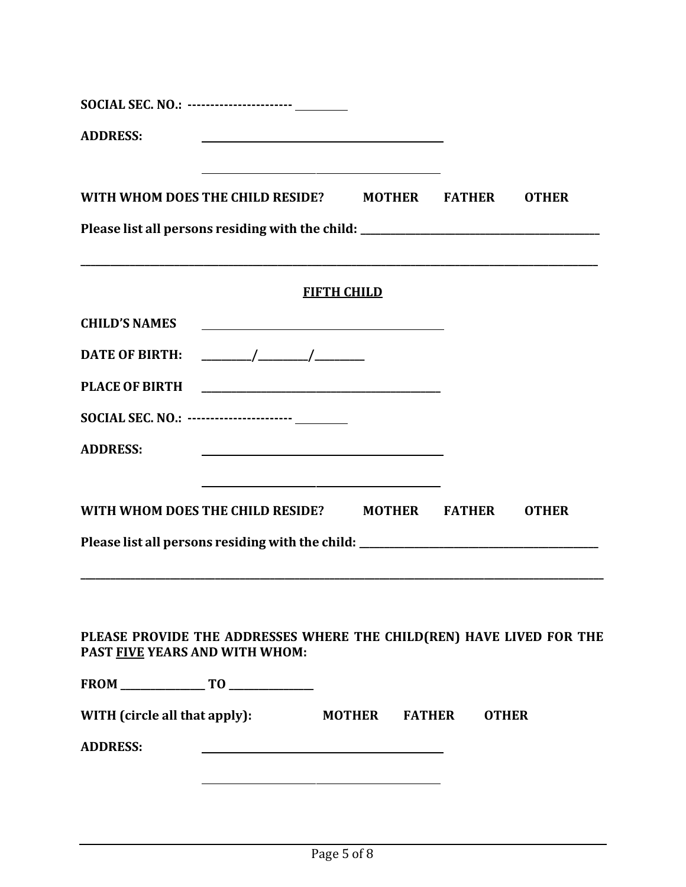| SOCIAL SEC. NO.: ------------------------ _________                                                    |                                                               |                                                                                                                       |              |              |
|--------------------------------------------------------------------------------------------------------|---------------------------------------------------------------|-----------------------------------------------------------------------------------------------------------------------|--------------|--------------|
| <b>ADDRESS:</b>                                                                                        |                                                               |                                                                                                                       |              |              |
| WITH WHOM DOES THE CHILD RESIDE? MOTHER FATHER                                                         |                                                               | <u> 1980 - Johann Barn, mars ann an t-Amhain Aonaichte ann an t-Amhain Aonaichte ann an t-Amhain Aonaichte ann an</u> |              | <b>OTHER</b> |
| Please list all persons residing with the child: ________________________________                      |                                                               |                                                                                                                       |              |              |
|                                                                                                        |                                                               | <b>FIFTH CHILD</b>                                                                                                    |              |              |
| <b>CHILD'S NAMES</b>                                                                                   | <u> 1989 - Johann Barn, fransk politik fotograf (d. 1989)</u> |                                                                                                                       |              |              |
|                                                                                                        |                                                               |                                                                                                                       |              |              |
|                                                                                                        |                                                               |                                                                                                                       |              |              |
| SOCIAL SEC. NO.: ------------------------------                                                        |                                                               |                                                                                                                       |              |              |
| <b>ADDRESS:</b>                                                                                        | <u> 1989 - Johann Barbara, martxa alemaniar a</u>             |                                                                                                                       |              |              |
| WITH WHOM DOES THE CHILD RESIDE? MOTHER FATHER                                                         |                                                               | <u> 1989 - Johann Barn, amerikansk politiker (d. 1989)</u>                                                            |              | <b>OTHER</b> |
| Please list all persons residing with the child: ________________________________                      |                                                               |                                                                                                                       |              |              |
|                                                                                                        |                                                               |                                                                                                                       |              |              |
|                                                                                                        |                                                               |                                                                                                                       |              |              |
| PLEASE PROVIDE THE ADDRESSES WHERE THE CHILD(REN) HAVE LIVED FOR THE<br>PAST FIVE YEARS AND WITH WHOM: |                                                               |                                                                                                                       |              |              |
|                                                                                                        |                                                               |                                                                                                                       |              |              |
| WITH (circle all that apply):                                                                          |                                                               | <b>MOTHER FATHER</b>                                                                                                  | <b>OTHER</b> |              |
| <b>ADDRESS:</b>                                                                                        |                                                               |                                                                                                                       |              |              |
|                                                                                                        |                                                               |                                                                                                                       |              |              |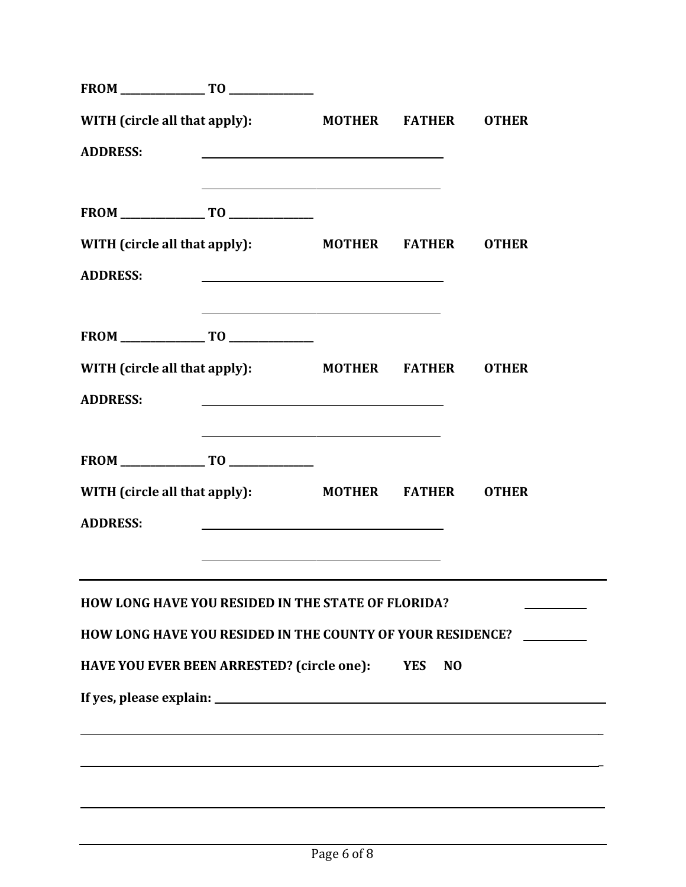| WITH (circle all that apply):                                       |                                                                                                                       | <b>MOTHER</b> | <b>FATHER</b>                | <b>OTHER</b> |
|---------------------------------------------------------------------|-----------------------------------------------------------------------------------------------------------------------|---------------|------------------------------|--------------|
| <b>ADDRESS:</b>                                                     |                                                                                                                       |               |                              |              |
|                                                                     | <u> 1980 - Johann Stein, marwolaethau a bhann an t-Amhainn an t-Amhainn an t-Amhainn an t-Amhainn an t-Amhainn a</u>  |               |                              |              |
| $\boxed{\mathsf{FROM}}\_\_\_\_\_\_\_ \ \mathsf{T0}\_\_\_\_\_\_\_ \$ |                                                                                                                       |               |                              |              |
| WITH (circle all that apply):                                       |                                                                                                                       |               | <b>MOTHER FATHER</b>         | <b>OTHER</b> |
| <b>ADDRESS:</b>                                                     |                                                                                                                       |               |                              |              |
|                                                                     | <u> 1989 - Johann Harry Harry Harry Harry Harry Harry Harry Harry Harry Harry Harry Harry Harry Harry Harry Harry</u> |               |                              |              |
| WITH (circle all that apply):                                       |                                                                                                                       |               | <b>MOTHER FATHER</b>         | <b>OTHER</b> |
| <b>ADDRESS:</b>                                                     | <u> 1980 - Johann Barn, amerikan bestemannten bestemannten bestemannten bestemannten bestemannten bestemannten b</u>  |               |                              |              |
|                                                                     | <u> 1980 - Johann Stein, marwolaethau a bhann an t-Amhair an t-Amhair an t-Amhair an t-Amhair an t-Amhair an t-A</u>  |               |                              |              |
| WITH (circle all that apply):                                       |                                                                                                                       |               | <b>MOTHER FATHER</b>         | <b>OTHER</b> |
| <b>ADDRESS:</b>                                                     |                                                                                                                       |               |                              |              |
|                                                                     | and the contract of the contract of the contract of the contract of the contract of the contract of                   |               |                              |              |
| <b>HOW LONG HAVE YOU RESIDED IN THE STATE OF FLORIDA?</b>           |                                                                                                                       |               |                              |              |
| HOW LONG HAVE YOU RESIDED IN THE COUNTY OF YOUR RESIDENCE?          |                                                                                                                       |               |                              |              |
| HAVE YOU EVER BEEN ARRESTED? (circle one):                          |                                                                                                                       |               | <b>YES</b><br>N <sub>O</sub> |              |
|                                                                     |                                                                                                                       |               |                              |              |
|                                                                     |                                                                                                                       |               |                              |              |
|                                                                     |                                                                                                                       |               |                              |              |
|                                                                     |                                                                                                                       |               |                              |              |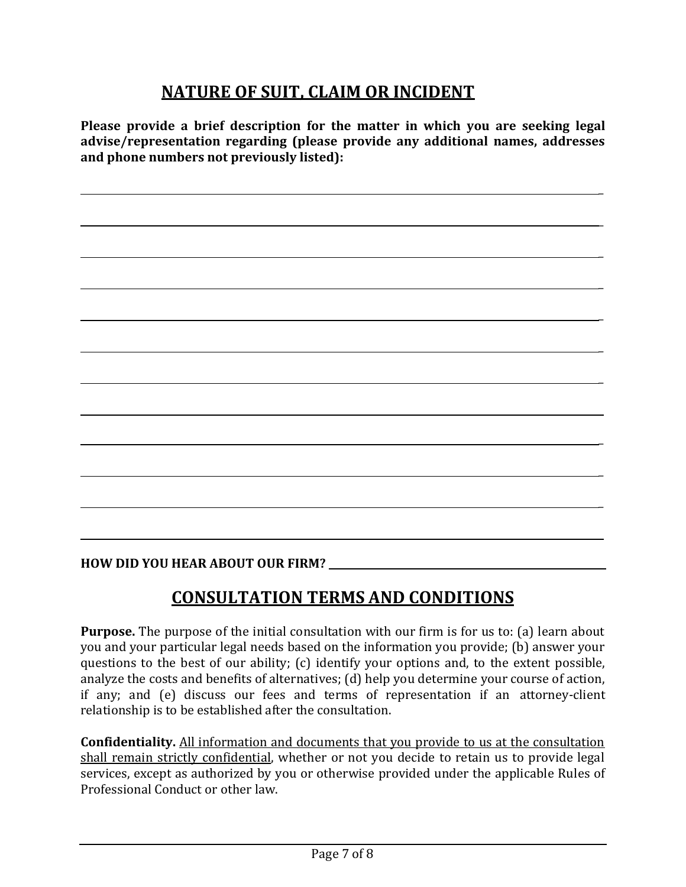## **NATURE OF SUIT, CLAIM OR INCIDENT**

**Please provide a brief description for the matter in which you are seeking legal advise/representation regarding (please provide any additional names, addresses and phone numbers not previously listed):**

 $\overline{a}$ 

\_

\_

\_

\_

\_

\_

 $\overline{a}$ 

\_

\_

**HOW DID YOU HEAR ABOUT OUR FIRM?** 

**CONSULTATION TERMS AND CONDITIONS**

**Purpose.** The purpose of the initial consultation with our firm is for us to: (a) learn about you and your particular legal needs based on the information you provide; (b) answer your questions to the best of our ability; (c) identify your options and, to the extent possible, analyze the costs and benefits of alternatives; (d) help you determine your course of action, if any; and (e) discuss our fees and terms of representation if an attorney-client relationship is to be established after the consultation.

**Confidentiality.** All information and documents that you provide to us at the consultation shall remain strictly confidential, whether or not you decide to retain us to provide legal services, except as authorized by you or otherwise provided under the applicable Rules of Professional Conduct or other law.